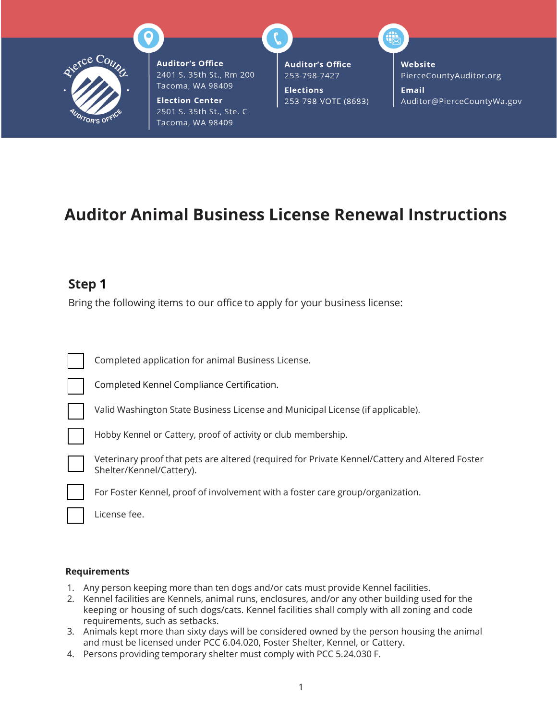

**Auditor's Office** 2401 S. 35th St., Rm 200 Tacoma, WA 98409

**Election Center** 2501 S. 35th St., Ste. C Tacoma, WA 98409

**Auditor's Office** 253-798-7427

**Elections** 253-798-VOTE (8683) Website PierceCountyAuditor.org

**Email** Auditor@PierceCountyWa.gov

# **Auditor Animal Business License Renewal Instructions**

### **Step 1**

Bring the following items to our office to apply for your business license:

| Completed application for animal Business License.                                                                         |
|----------------------------------------------------------------------------------------------------------------------------|
| Completed Kennel Compliance Certification.                                                                                 |
| Valid Washington State Business License and Municipal License (if applicable).                                             |
| Hobby Kennel or Cattery, proof of activity or club membership.                                                             |
| Veterinary proof that pets are altered (required for Private Kennel/Cattery and Altered Foster<br>Shelter/Kennel/Cattery). |
| For Foster Kennel, proof of involvement with a foster care group/organization.                                             |
| License fee.                                                                                                               |

#### **Requirements**

- 1. Any person keeping more than ten dogs and/or cats must provide Kennel facilities.
- 2. Kennel facilities are Kennels, animal runs, enclosures, and/or any other building used for the keeping or housing of such dogs/cats. Kennel facilities shall comply with all zoning and code requirements, such as setbacks.
- 3. Animals kept more than sixty days will be considered owned by the person housing the animal and must be licensed under PCC 6.04.020, Foster Shelter, Kennel, or Cattery.
- 4. Persons providing temporary shelter must comply with PCC 5.24.030 F.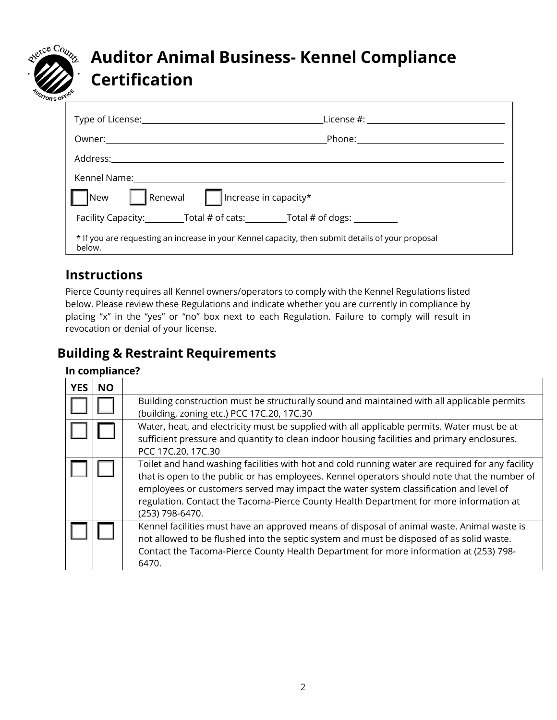

# **Auditor Animal Business- Kennel Compliance Certification**

|                                                                                                                                                                                                                                | Phone: the contract of the contract of the contract of the contract of the contract of the contract of the contract of the contract of the contract of the contract of the contract of the contract of the contract of the con |
|--------------------------------------------------------------------------------------------------------------------------------------------------------------------------------------------------------------------------------|--------------------------------------------------------------------------------------------------------------------------------------------------------------------------------------------------------------------------------|
|                                                                                                                                                                                                                                |                                                                                                                                                                                                                                |
| Kennel Name: \\connel Name: \\connel Name: \\connel Name: \\connel \\connel \\connel \\connel \\connel \\connel \\connel \\connel \\connel \\connel \\connel \\connel \\connel \\connel \\connel \\connel \\connel \\connel \\ |                                                                                                                                                                                                                                |
| $\left\  \right\ $ Renewal $\left\  \right\ $ Increase in capacity*<br>New<br>                                                                                                                                                 |                                                                                                                                                                                                                                |
| Facility Capacity: Total # of cats: Total # of dogs:                                                                                                                                                                           |                                                                                                                                                                                                                                |
| * If you are requesting an increase in your Kennel capacity, then submit details of your proposal<br>below.                                                                                                                    |                                                                                                                                                                                                                                |

## **Instructions**

Pierce County requires all Kennel owners/operators to comply with the Kennel Regulations listed below. Please review these Regulations and indicate whether you are currently in compliance by placing "x" in the "yes" or "no" box next to each Regulation. Failure to comply will result in revocation or denial of your license.

# **Building & Restraint Requirements**

### **In compliance?**

| <b>YES</b> | <b>NO</b> |                                                                                                                                                                                                                                                                                                                                                                                                        |
|------------|-----------|--------------------------------------------------------------------------------------------------------------------------------------------------------------------------------------------------------------------------------------------------------------------------------------------------------------------------------------------------------------------------------------------------------|
|            |           | Building construction must be structurally sound and maintained with all applicable permits<br>(building, zoning etc.) PCC 17C.20, 17C.30                                                                                                                                                                                                                                                              |
|            |           | Water, heat, and electricity must be supplied with all applicable permits. Water must be at<br>sufficient pressure and quantity to clean indoor housing facilities and primary enclosures.<br>PCC 17C.20, 17C.30                                                                                                                                                                                       |
|            |           | Toilet and hand washing facilities with hot and cold running water are required for any facility<br>that is open to the public or has employees. Kennel operators should note that the number of<br>employees or customers served may impact the water system classification and level of<br>regulation. Contact the Tacoma-Pierce County Health Department for more information at<br>(253) 798-6470. |
|            |           | Kennel facilities must have an approved means of disposal of animal waste. Animal waste is<br>not allowed to be flushed into the septic system and must be disposed of as solid waste.<br>Contact the Tacoma-Pierce County Health Department for more information at (253) 798-<br>6470.                                                                                                               |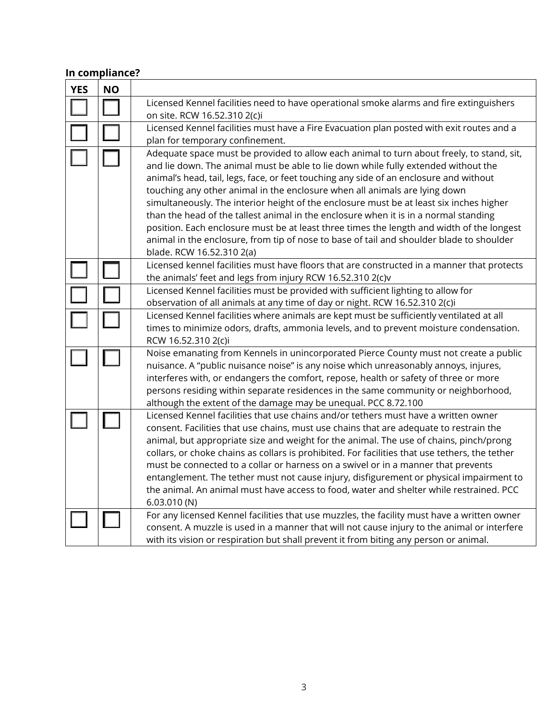### **In compliance?**

| <b>YES</b> | <b>NO</b> |                                                                                                                                                                                                                                                                                                                                                                                                                                                                                                                                                                                                                                                                                                                                                                  |  |  |  |
|------------|-----------|------------------------------------------------------------------------------------------------------------------------------------------------------------------------------------------------------------------------------------------------------------------------------------------------------------------------------------------------------------------------------------------------------------------------------------------------------------------------------------------------------------------------------------------------------------------------------------------------------------------------------------------------------------------------------------------------------------------------------------------------------------------|--|--|--|
|            |           | Licensed Kennel facilities need to have operational smoke alarms and fire extinguishers<br>on site. RCW 16.52.310 2(c)i                                                                                                                                                                                                                                                                                                                                                                                                                                                                                                                                                                                                                                          |  |  |  |
|            |           | Licensed Kennel facilities must have a Fire Evacuation plan posted with exit routes and a<br>plan for temporary confinement.                                                                                                                                                                                                                                                                                                                                                                                                                                                                                                                                                                                                                                     |  |  |  |
|            |           | Adequate space must be provided to allow each animal to turn about freely, to stand, sit,<br>and lie down. The animal must be able to lie down while fully extended without the<br>animal's head, tail, legs, face, or feet touching any side of an enclosure and without<br>touching any other animal in the enclosure when all animals are lying down<br>simultaneously. The interior height of the enclosure must be at least six inches higher<br>than the head of the tallest animal in the enclosure when it is in a normal standing<br>position. Each enclosure must be at least three times the length and width of the longest<br>animal in the enclosure, from tip of nose to base of tail and shoulder blade to shoulder<br>blade. RCW 16.52.310 2(a) |  |  |  |
|            |           | Licensed kennel facilities must have floors that are constructed in a manner that protects<br>the animals' feet and legs from injury RCW 16.52.310 2(c)v                                                                                                                                                                                                                                                                                                                                                                                                                                                                                                                                                                                                         |  |  |  |
|            |           | Licensed Kennel facilities must be provided with sufficient lighting to allow for<br>observation of all animals at any time of day or night. RCW 16.52.310 2(c)i                                                                                                                                                                                                                                                                                                                                                                                                                                                                                                                                                                                                 |  |  |  |
|            |           | Licensed Kennel facilities where animals are kept must be sufficiently ventilated at all<br>times to minimize odors, drafts, ammonia levels, and to prevent moisture condensation.<br>RCW 16.52.310 2(c)i                                                                                                                                                                                                                                                                                                                                                                                                                                                                                                                                                        |  |  |  |
|            |           | Noise emanating from Kennels in unincorporated Pierce County must not create a public<br>nuisance. A "public nuisance noise" is any noise which unreasonably annoys, injures,<br>interferes with, or endangers the comfort, repose, health or safety of three or more<br>persons residing within separate residences in the same community or neighborhood,<br>although the extent of the damage may be unequal. PCC 8.72.100                                                                                                                                                                                                                                                                                                                                    |  |  |  |
|            |           | Licensed Kennel facilities that use chains and/or tethers must have a written owner<br>consent. Facilities that use chains, must use chains that are adequate to restrain the<br>animal, but appropriate size and weight for the animal. The use of chains, pinch/prong<br>collars, or choke chains as collars is prohibited. For facilities that use tethers, the tether<br>must be connected to a collar or harness on a swivel or in a manner that prevents<br>entanglement. The tether must not cause injury, disfigurement or physical impairment to<br>the animal. An animal must have access to food, water and shelter while restrained. PCC<br>6.03.010(N)                                                                                              |  |  |  |
|            |           | For any licensed Kennel facilities that use muzzles, the facility must have a written owner<br>consent. A muzzle is used in a manner that will not cause injury to the animal or interfere<br>with its vision or respiration but shall prevent it from biting any person or animal.                                                                                                                                                                                                                                                                                                                                                                                                                                                                              |  |  |  |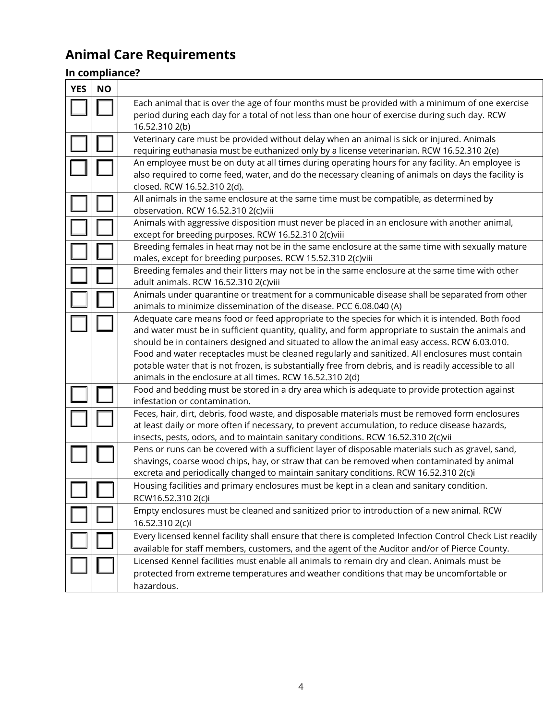# **Animal Care Requirements**

# **In compliance?**

| <b>YES</b> | <b>NO</b> |                                                                                                                                                                                                                                                                                                                                                                                                                                                                                                                                                                                |
|------------|-----------|--------------------------------------------------------------------------------------------------------------------------------------------------------------------------------------------------------------------------------------------------------------------------------------------------------------------------------------------------------------------------------------------------------------------------------------------------------------------------------------------------------------------------------------------------------------------------------|
|            |           | Each animal that is over the age of four months must be provided with a minimum of one exercise<br>period during each day for a total of not less than one hour of exercise during such day. RCW<br>16.52.310 2(b)                                                                                                                                                                                                                                                                                                                                                             |
|            |           | Veterinary care must be provided without delay when an animal is sick or injured. Animals<br>requiring euthanasia must be euthanized only by a license veterinarian. RCW 16.52.310 2(e)                                                                                                                                                                                                                                                                                                                                                                                        |
|            |           | An employee must be on duty at all times during operating hours for any facility. An employee is<br>also required to come feed, water, and do the necessary cleaning of animals on days the facility is<br>closed. RCW 16.52.310 2(d).                                                                                                                                                                                                                                                                                                                                         |
|            |           | All animals in the same enclosure at the same time must be compatible, as determined by<br>observation. RCW 16.52.310 2(c)viii                                                                                                                                                                                                                                                                                                                                                                                                                                                 |
|            |           | Animals with aggressive disposition must never be placed in an enclosure with another animal,<br>except for breeding purposes. RCW 16.52.310 2(c)viii                                                                                                                                                                                                                                                                                                                                                                                                                          |
|            |           | Breeding females in heat may not be in the same enclosure at the same time with sexually mature<br>males, except for breeding purposes. RCW 15.52.310 2(c)viii                                                                                                                                                                                                                                                                                                                                                                                                                 |
|            |           | Breeding females and their litters may not be in the same enclosure at the same time with other<br>adult animals. RCW 16.52.310 2(c)viii                                                                                                                                                                                                                                                                                                                                                                                                                                       |
|            |           | Animals under quarantine or treatment for a communicable disease shall be separated from other<br>animals to minimize dissemination of the disease. PCC 6.08.040 (A)                                                                                                                                                                                                                                                                                                                                                                                                           |
|            |           | Adequate care means food or feed appropriate to the species for which it is intended. Both food<br>and water must be in sufficient quantity, quality, and form appropriate to sustain the animals and<br>should be in containers designed and situated to allow the animal easy access. RCW 6.03.010.<br>Food and water receptacles must be cleaned regularly and sanitized. All enclosures must contain<br>potable water that is not frozen, is substantially free from debris, and is readily accessible to all<br>animals in the enclosure at all times. RCW 16.52.310 2(d) |
|            |           | Food and bedding must be stored in a dry area which is adequate to provide protection against<br>infestation or contamination.                                                                                                                                                                                                                                                                                                                                                                                                                                                 |
|            |           | Feces, hair, dirt, debris, food waste, and disposable materials must be removed form enclosures<br>at least daily or more often if necessary, to prevent accumulation, to reduce disease hazards,<br>insects, pests, odors, and to maintain sanitary conditions. RCW 16.52.310 2(c)vii                                                                                                                                                                                                                                                                                         |
|            |           | Pens or runs can be covered with a sufficient layer of disposable materials such as gravel, sand,<br>shavings, coarse wood chips, hay, or straw that can be removed when contaminated by animal<br>excreta and periodically changed to maintain sanitary conditions. RCW 16.52.310 2(c)i                                                                                                                                                                                                                                                                                       |
|            |           | Housing facilities and primary enclosures must be kept in a clean and sanitary condition.<br>RCW16.52.310 2(c)i                                                                                                                                                                                                                                                                                                                                                                                                                                                                |
|            |           | Empty enclosures must be cleaned and sanitized prior to introduction of a new animal. RCW<br>16.52.310 2(c)l                                                                                                                                                                                                                                                                                                                                                                                                                                                                   |
|            |           | Every licensed kennel facility shall ensure that there is completed Infection Control Check List readily<br>available for staff members, customers, and the agent of the Auditor and/or of Pierce County.                                                                                                                                                                                                                                                                                                                                                                      |
|            |           | Licensed Kennel facilities must enable all animals to remain dry and clean. Animals must be<br>protected from extreme temperatures and weather conditions that may be uncomfortable or<br>hazardous.                                                                                                                                                                                                                                                                                                                                                                           |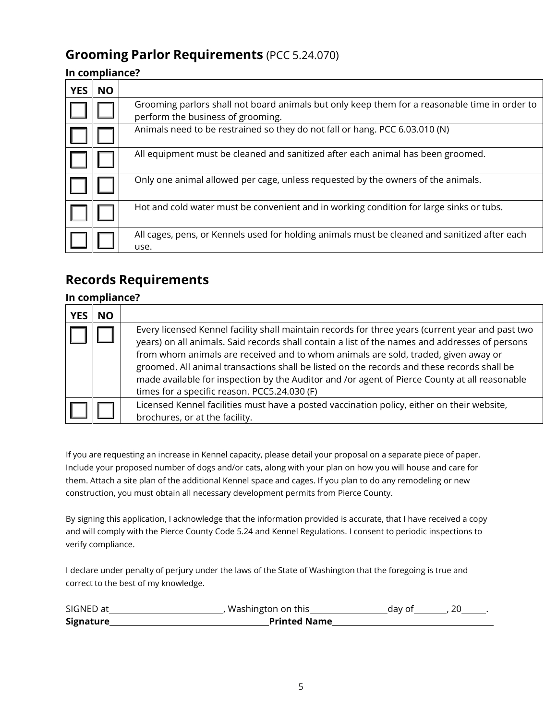## **Grooming Parlor Requirements** (PCC 5.24.070)

#### **In compliance?**

| <b>YES</b> | <b>NO</b> |                                                                                                                                    |
|------------|-----------|------------------------------------------------------------------------------------------------------------------------------------|
|            |           | Grooming parlors shall not board animals but only keep them for a reasonable time in order to<br>perform the business of grooming. |
|            |           | Animals need to be restrained so they do not fall or hang. PCC 6.03.010 (N)                                                        |
|            |           | All equipment must be cleaned and sanitized after each animal has been groomed.                                                    |
|            |           | Only one animal allowed per cage, unless requested by the owners of the animals.                                                   |
|            |           | Hot and cold water must be convenient and in working condition for large sinks or tubs.                                            |
|            |           | All cages, pens, or Kennels used for holding animals must be cleaned and sanitized after each<br>use.                              |

## **Records Requirements**

#### **In compliance?**

| <b>YES</b> | <b>NO</b> |                                                                                                                                                                                                                                                                                                                                                                                                                                                                                                                                         |
|------------|-----------|-----------------------------------------------------------------------------------------------------------------------------------------------------------------------------------------------------------------------------------------------------------------------------------------------------------------------------------------------------------------------------------------------------------------------------------------------------------------------------------------------------------------------------------------|
|            |           | Every licensed Kennel facility shall maintain records for three years (current year and past two<br>years) on all animals. Said records shall contain a list of the names and addresses of persons<br>from whom animals are received and to whom animals are sold, traded, given away or<br>groomed. All animal transactions shall be listed on the records and these records shall be<br>made available for inspection by the Auditor and /or agent of Pierce County at all reasonable<br>times for a specific reason. PCC5.24.030 (F) |
|            |           | Licensed Kennel facilities must have a posted vaccination policy, either on their website,<br>brochures, or at the facility.                                                                                                                                                                                                                                                                                                                                                                                                            |

If you are requesting an increase in Kennel capacity, please detail your proposal on a separate piece of paper. Include your proposed number of dogs and/or cats, along with your plan on how you will house and care for them. Attach a site plan of the additional Kennel space and cages. If you plan to do any remodeling or new construction, you must obtain all necessary development permits from Pierce County.

By signing this application, I acknowledge that the information provided is accurate, that I have received a copy and will comply with the Pierce County Code 5.24 and Kennel Regulations. I consent to periodic inspections to verify compliance.

I declare under penalty of perjury under the laws of the State of Washington that the foregoing is true and correct to the best of my knowledge.

| SIGNED at | Washington on this  | dav of |  |
|-----------|---------------------|--------|--|
| Signature | <b>Printed Name</b> |        |  |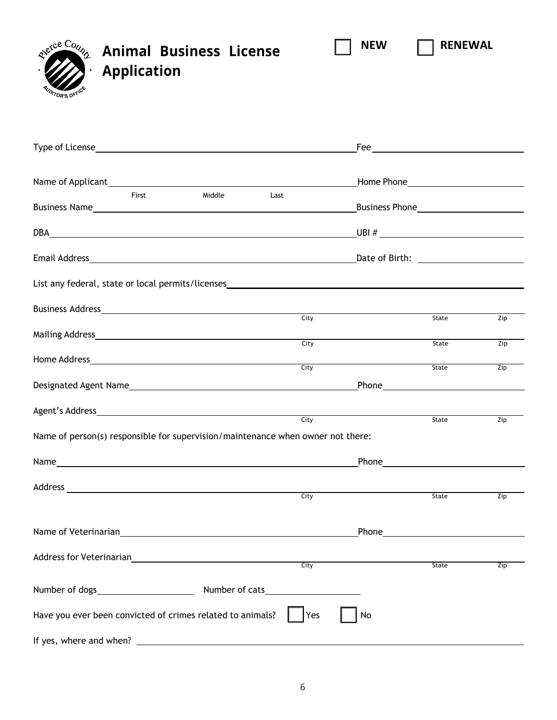**Animal Business License Application**

| <b>Application</b><br>TOR'S OF <sup>F</sup>                                                     |      |                                                                                                                                                                                                                                    |     |
|-------------------------------------------------------------------------------------------------|------|------------------------------------------------------------------------------------------------------------------------------------------------------------------------------------------------------------------------------------|-----|
|                                                                                                 |      |                                                                                                                                                                                                                                    |     |
|                                                                                                 |      | Home Phone <b>Manufacture</b> Phone <b>Manufacture</b>                                                                                                                                                                             |     |
| Middle<br>First                                                                                 | Last |                                                                                                                                                                                                                                    |     |
|                                                                                                 |      |                                                                                                                                                                                                                                    |     |
|                                                                                                 |      |                                                                                                                                                                                                                                    |     |
| List any federal, state or local permits/licenses________________________________               |      |                                                                                                                                                                                                                                    |     |
|                                                                                                 | City | State                                                                                                                                                                                                                              | Zip |
|                                                                                                 |      | <b>City</b>                                                                                                                                                                                                                        |     |
|                                                                                                 |      | State                                                                                                                                                                                                                              | Zip |
|                                                                                                 | City | State                                                                                                                                                                                                                              | Zip |
|                                                                                                 |      |                                                                                                                                                                                                                                    |     |
|                                                                                                 |      | State                                                                                                                                                                                                                              | Zip |
| Name of person(s) responsible for supervision/maintenance when owner not there:                 |      |                                                                                                                                                                                                                                    |     |
|                                                                                                 |      | Phone Phone                                                                                                                                                                                                                        |     |
| Address_                                                                                        | City | State                                                                                                                                                                                                                              | Zip |
| Name of Veterinarian<br>Same of Veterinarian                                                    |      | <b>Phone Contract Contract Contract Contract Contract Contract Contract Contract Contract Contract Contract Contract Contract Contract Contract Contract Contract Contract Contract Contract Contract Contract Contract Contra</b> |     |
| Address for Veterinarian<br><u> 1989 - Johann Stein, mars an deus Amerikaansk kommunister (</u> | City | <b>State</b>                                                                                                                                                                                                                       | Zip |

**NEW RENEWAL**

| Number of dogs                                                                            | Number of cats |  |  |
|-------------------------------------------------------------------------------------------|----------------|--|--|
| Have you ever been convicted of crimes related to animals? $\ \cdot\ $ Yes $\ \cdot\ $ No |                |  |  |
| If yes, where and when?                                                                   |                |  |  |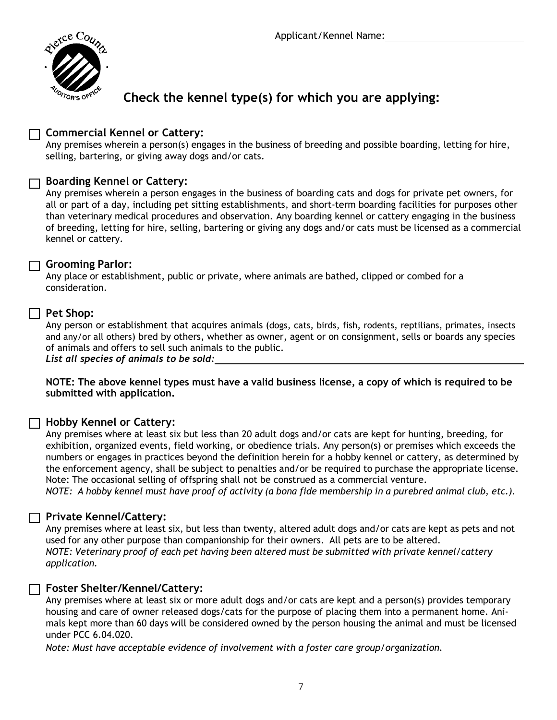

# **Check the kennel type(s) for which you are applying:**

### **Commercial Kennel or Cattery:**

Any premises wherein a person(s) engages in the business of breeding and possible boarding, letting for hire, selling, bartering, or giving away dogs and/or cats.

#### **Boarding Kennel or Cattery:**

Any premises wherein a person engages in the business of boarding cats and dogs for private pet owners, for all or part of a day, including pet sitting establishments, and short-term boarding facilities for purposes other than veterinary medical procedures and observation. Any boarding kennel or cattery engaging in the business of breeding, letting for hire, selling, bartering or giving any dogs and/or cats must be licensed as a commercial kennel or cattery.

#### **Grooming Parlor:**

Any place or establishment, public or private, where animals are bathed, clipped or combed for a consideration.

#### **Pet Shop:**

Any person or establishment that acquires animals (dogs, cats, birds, fish, rodents, reptilians, primates, insects and any/or all others) bred by others, whether as owner, agent or on consignment, sells or boards any species of animals and offers to sell such animals to the public. *List all species of animals to be sold:* 

**NOTE: The above kennel types must have a valid business license, a copy of which is required to be submitted with application.**

### **Hobby Kennel or Cattery:**

Any premises where at least six but less than 20 adult dogs and/or cats are kept for hunting, breeding, for exhibition, organized events, field working, or obedience trials. Any person(s) or premises which exceeds the numbers or engages in practices beyond the definition herein for a hobby kennel or cattery, as determined by the enforcement agency, shall be subject to penalties and/or be required to purchase the appropriate license. Note: The occasional selling of offspring shall not be construed as a commercial venture.

*NOTE: A hobby kennel must have proof of activity (a bona fide membership in a purebred animal club, etc.).*

### **Private Kennel/Cattery:**

Any premises where at least six, but less than twenty, altered adult dogs and/or cats are kept as pets and not used for any other purpose than companionship for their owners. All pets are to be altered. *NOTE: Veterinary proof of each pet having been altered must be submitted with private kennel/cattery application.* 

#### **Foster Shelter/Kennel/Cattery:**

Any premises where at least six or more adult dogs and/or cats are kept and a person(s) provides temporary housing and care of owner released dogs/cats for the purpose of placing them into a permanent home. Animals kept more than 60 days will be considered owned by the person housing the animal and must be licensed under PCC 6.04.020.

*Note: Must have acceptable evidence of involvement with a foster care group/organization.*